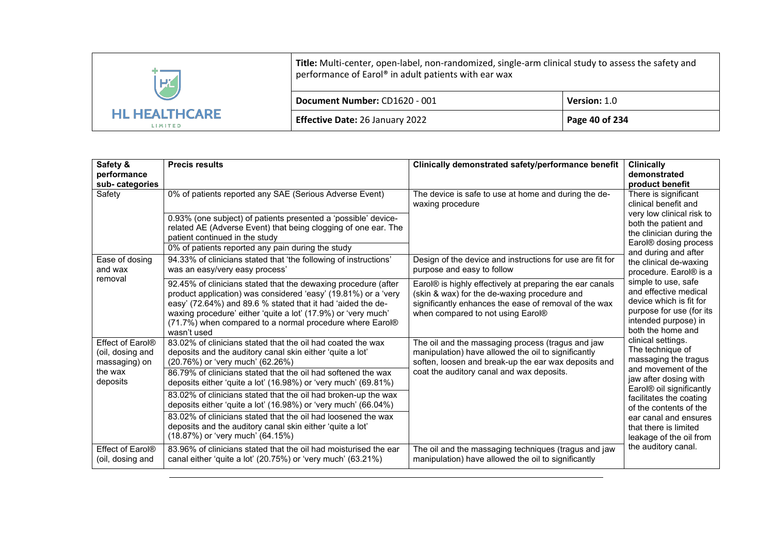| HZ                                     | Title: Multi-center, open-label, non-randomized, single-arm clinical study to assess the safety and<br>performance of Earol® in adult patients with ear wax |                     |  |
|----------------------------------------|-------------------------------------------------------------------------------------------------------------------------------------------------------------|---------------------|--|
|                                        | Document Number: CD1620 - 001                                                                                                                               | <b>Version: 1.0</b> |  |
| <b>HL HEALTHCARE</b><br><b>LIMITED</b> | Effective Date: 26 January 2022                                                                                                                             | Page 40 of 234      |  |

| Safety &<br>performance<br>sub-categories                                    | <b>Precis results</b>                                                                                                                                                                                                                                                                                                                       | Clinically demonstrated safety/performance benefit                                                                                                                                                            | <b>Clinically</b><br>demonstrated<br>product benefit                                                                                                                                                                                           |
|------------------------------------------------------------------------------|---------------------------------------------------------------------------------------------------------------------------------------------------------------------------------------------------------------------------------------------------------------------------------------------------------------------------------------------|---------------------------------------------------------------------------------------------------------------------------------------------------------------------------------------------------------------|------------------------------------------------------------------------------------------------------------------------------------------------------------------------------------------------------------------------------------------------|
| Safety                                                                       | 0% of patients reported any SAE (Serious Adverse Event)<br>0.93% (one subject) of patients presented a 'possible' device-<br>related AE (Adverse Event) that being clogging of one ear. The<br>patient continued in the study<br>0% of patients reported any pain during the study                                                          | The device is safe to use at home and during the de-<br>waxing procedure                                                                                                                                      | There is significant<br>clinical benefit and<br>very low clinical risk to<br>both the patient and<br>the clinician during the<br>Earol <sup>®</sup> dosing process<br>and during and after<br>the clinical de-waxing<br>procedure. Earol® is a |
| Ease of dosing<br>and wax                                                    | 94.33% of clinicians stated that 'the following of instructions'<br>was an easy/very easy process'                                                                                                                                                                                                                                          | Design of the device and instructions for use are fit for<br>purpose and easy to follow                                                                                                                       |                                                                                                                                                                                                                                                |
| removal                                                                      | 92.45% of clinicians stated that the dewaxing procedure (after<br>product application) was considered 'easy' (19.81%) or a 'very<br>easy' (72.64%) and 89.6 % stated that it had 'aided the de-<br>waxing procedure' either 'quite a lot' (17.9%) or 'very much'<br>(71.7%) when compared to a normal procedure where Earol®<br>wasn't used | Earol® is highly effectively at preparing the ear canals<br>(skin & wax) for the de-waxing procedure and<br>significantly enhances the ease of removal of the wax<br>when compared to not using Earol®        | simple to use, safe<br>and effective medical<br>device which is fit for<br>purpose for use (for its<br>intended purpose) in<br>both the home and                                                                                               |
| Effect of Earol®<br>(oil, dosing and<br>massaging) on<br>the wax<br>deposits | 83.02% of clinicians stated that the oil had coated the wax<br>deposits and the auditory canal skin either 'quite a lot'<br>(20.76%) or 'very much' (62.26%)<br>86.79% of clinicians stated that the oil had softened the wax<br>deposits either 'quite a lot' (16.98%) or 'very much' (69.81%)                                             | The oil and the massaging process (tragus and jaw<br>manipulation) have allowed the oil to significantly<br>soften, loosen and break-up the ear wax deposits and<br>coat the auditory canal and wax deposits. | clinical settings.<br>The technique of<br>massaging the tragus<br>and movement of the<br>jaw after dosing with<br>Earol® oil significantly                                                                                                     |
|                                                                              | 83.02% of clinicians stated that the oil had broken-up the wax<br>deposits either 'quite a lot' (16.98%) or 'very much' (66.04%)<br>83.02% of clinicians stated that the oil had loosened the wax                                                                                                                                           |                                                                                                                                                                                                               | facilitates the coating<br>of the contents of the<br>ear canal and ensures                                                                                                                                                                     |
| Effect of Earol®                                                             | deposits and the auditory canal skin either 'quite a lot'<br>(18.87%) or 'very much' (64.15%)<br>83.96% of clinicians stated that the oil had moisturised the ear                                                                                                                                                                           | The oil and the massaging techniques (tragus and jaw                                                                                                                                                          | that there is limited<br>leakage of the oil from<br>the auditory canal.                                                                                                                                                                        |
| (oil, dosing and                                                             | canal either 'quite a lot' (20.75%) or 'very much' (63.21%)                                                                                                                                                                                                                                                                                 | manipulation) have allowed the oil to significantly                                                                                                                                                           |                                                                                                                                                                                                                                                |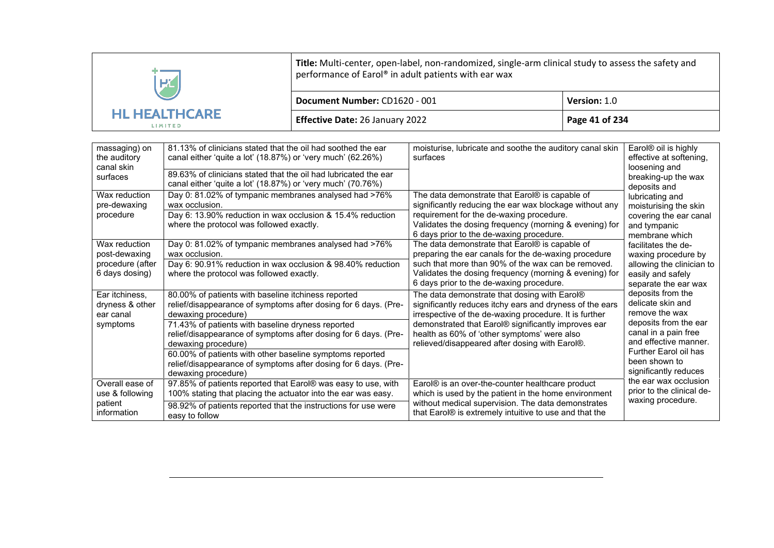| $\overline{H}$<br><b>HL HEALTHCARE</b><br><b>LIMITED</b> | Title: Multi-center, open-label, non-randomized, single-arm clinical study to assess the safety and<br>performance of Earol® in adult patients with ear wax |                |  |
|----------------------------------------------------------|-------------------------------------------------------------------------------------------------------------------------------------------------------------|----------------|--|
|                                                          | Document Number: CD1620 - 001                                                                                                                               | Version: 1.0   |  |
|                                                          | <b>Effective Date: 26 January 2022</b>                                                                                                                      | Page 41 of 234 |  |

| massaging) on<br>the auditory<br>canal skin                          | 81.13% of clinicians stated that the oil had soothed the ear<br>canal either 'quite a lot' (18.87%) or 'very much' (62.26%)                                                                                                                                                                                                                                                                                                                        | moisturise, lubricate and soothe the auditory canal skin<br>surfaces                                                                                                                                                                                                                                                       | Earol <sup>®</sup> oil is highly<br>effective at softening,<br>loosening and                                                                                                                          |
|----------------------------------------------------------------------|----------------------------------------------------------------------------------------------------------------------------------------------------------------------------------------------------------------------------------------------------------------------------------------------------------------------------------------------------------------------------------------------------------------------------------------------------|----------------------------------------------------------------------------------------------------------------------------------------------------------------------------------------------------------------------------------------------------------------------------------------------------------------------------|-------------------------------------------------------------------------------------------------------------------------------------------------------------------------------------------------------|
| surfaces                                                             | 89.63% of clinicians stated that the oil had lubricated the ear<br>canal either 'quite a lot' (18.87%) or 'very much' (70.76%)                                                                                                                                                                                                                                                                                                                     |                                                                                                                                                                                                                                                                                                                            | breaking-up the wax<br>deposits and                                                                                                                                                                   |
| Wax reduction<br>pre-dewaxing<br>procedure                           | Day 0: 81.02% of tympanic membranes analysed had >76%<br>wax occlusion.<br>Day 6: 13.90% reduction in wax occlusion & 15.4% reduction<br>where the protocol was followed exactly.                                                                                                                                                                                                                                                                  | The data demonstrate that Earol® is capable of<br>significantly reducing the ear wax blockage without any<br>requirement for the de-waxing procedure.<br>Validates the dosing frequency (morning & evening) for<br>6 days prior to the de-waxing procedure.                                                                | lubricating and<br>moisturising the skin<br>covering the ear canal<br>and tympanic<br>membrane which                                                                                                  |
| Wax reduction<br>post-dewaxing<br>procedure (after<br>6 days dosing) | Day 0: 81.02% of tympanic membranes analysed had >76%<br>wax occlusion.<br>Day 6: 90.91% reduction in wax occlusion & 98.40% reduction<br>where the protocol was followed exactly.                                                                                                                                                                                                                                                                 | The data demonstrate that Earol® is capable of<br>preparing the ear canals for the de-waxing procedure<br>such that more than 90% of the wax can be removed.<br>Validates the dosing frequency (morning & evening) for<br>6 days prior to the de-waxing procedure.                                                         | facilitates the de-<br>waxing procedure by<br>allowing the clinician to<br>easily and safely<br>separate the ear wax                                                                                  |
| Ear itchiness,<br>dryness & other<br>ear canal<br>symptoms           | 80.00% of patients with baseline itchiness reported<br>relief/disappearance of symptoms after dosing for 6 days. (Pre-<br>dewaxing procedure)<br>71.43% of patients with baseline dryness reported<br>relief/disappearance of symptoms after dosing for 6 days. (Pre-<br>dewaxing procedure)<br>60.00% of patients with other baseline symptoms reported<br>relief/disappearance of symptoms after dosing for 6 days. (Pre-<br>dewaxing procedure) | The data demonstrate that dosing with Earol®<br>significantly reduces itchy ears and dryness of the ears<br>irrespective of the de-waxing procedure. It is further<br>demonstrated that Earol® significantly improves ear<br>health as 60% of 'other symptoms' were also<br>relieved/disappeared after dosing with Earol®. | deposits from the<br>delicate skin and<br>remove the wax<br>deposits from the ear<br>canal in a pain free<br>and effective manner.<br>Further Earol oil has<br>been shown to<br>significantly reduces |
| Overall ease of<br>use & following<br>patient<br>information         | 97.85% of patients reported that Earol® was easy to use, with<br>100% stating that placing the actuator into the ear was easy.<br>98.92% of patients reported that the instructions for use were<br>easy to follow                                                                                                                                                                                                                                 | Earol® is an over-the-counter healthcare product<br>which is used by the patient in the home environment<br>without medical supervision. The data demonstrates<br>that Earol <sup>®</sup> is extremely intuitive to use and that the                                                                                       | the ear wax occlusion<br>prior to the clinical de-<br>waxing procedure.                                                                                                                               |